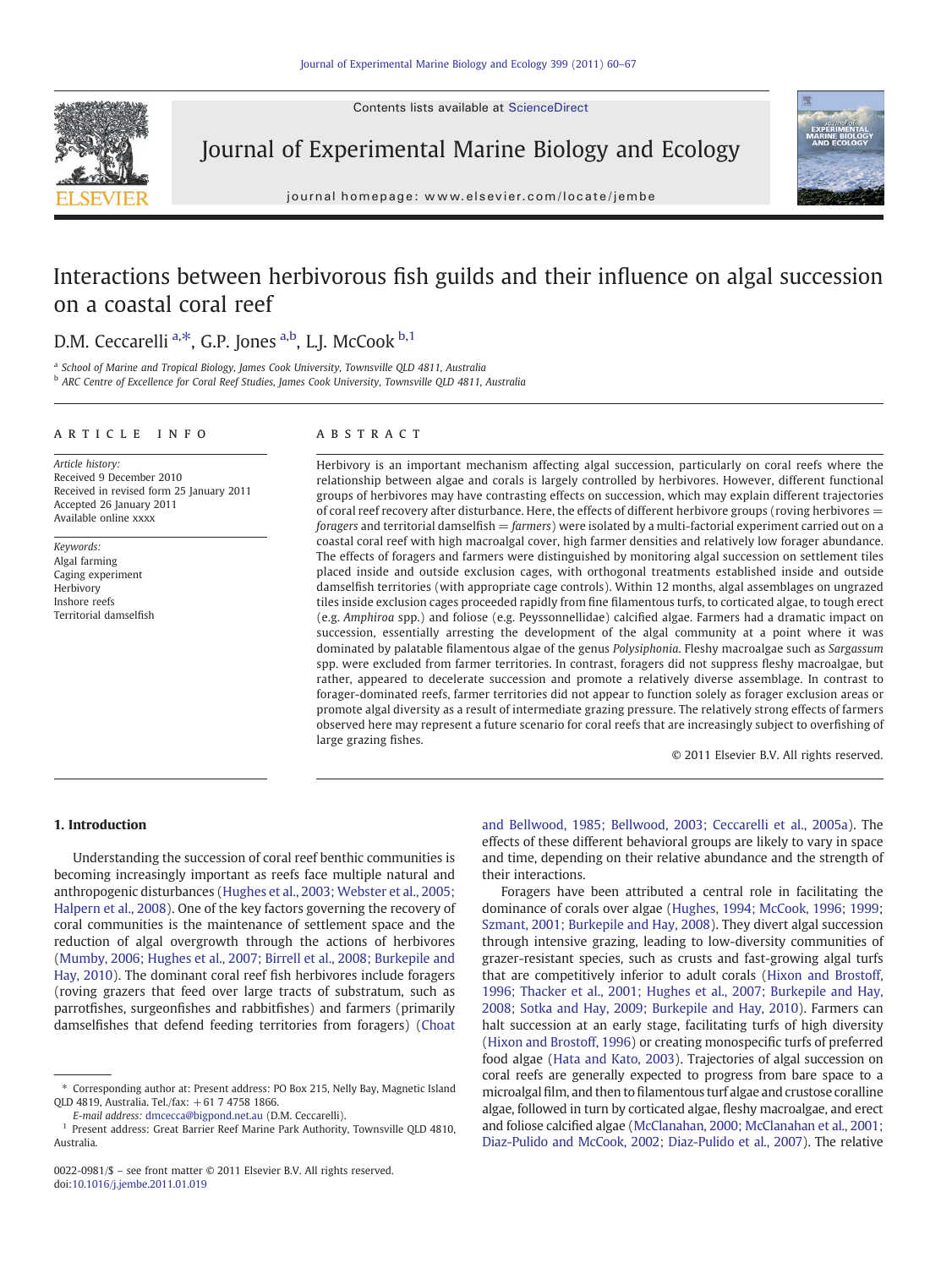Contents lists available at ScienceDirect



Journal of Experimental Marine Biology and Ecology

journal homepage: www.elsevier.com/locate/jembe



# Interactions between herbivorous fish guilds and their influence on algal succession on a coastal coral reef

# D.M. Ceccarelli <sup>a,\*</sup>, G.P. Jones <sup>a,b</sup>, L.J. McCook <sup>b,1</sup>

<sup>a</sup> School of Marine and Tropical Biology, James Cook University, Townsville QLD 4811, Australia

**b ARC Centre of Excellence for Coral Reef Studies, James Cook University, Townsville QLD 4811, Australia** 

#### article info abstract

Article history: Received 9 December 2010 Received in revised form 25 January 2011 Accepted 26 January 2011 Available online xxxx

Keywords: Algal farming Caging experiment Herbivory Inshore reefs Territorial damselfish

Herbivory is an important mechanism affecting algal succession, particularly on coral reefs where the relationship between algae and corals is largely controlled by herbivores. However, different functional groups of herbivores may have contrasting effects on succession, which may explain different trajectories of coral reef recovery after disturbance. Here, the effects of different herbivore groups (roving herbivores =  $foragers$  and territorial damselfish  $= farmers$ ) were isolated by a multi-factorial experiment carried out on a coastal coral reef with high macroalgal cover, high farmer densities and relatively low forager abundance. The effects of foragers and farmers were distinguished by monitoring algal succession on settlement tiles placed inside and outside exclusion cages, with orthogonal treatments established inside and outside damselfish territories (with appropriate cage controls). Within 12 months, algal assemblages on ungrazed tiles inside exclusion cages proceeded rapidly from fine filamentous turfs, to corticated algae, to tough erect (e.g. Amphiroa spp.) and foliose (e.g. Peyssonnellidae) calcified algae. Farmers had a dramatic impact on succession, essentially arresting the development of the algal community at a point where it was dominated by palatable filamentous algae of the genus Polysiphonia. Fleshy macroalgae such as Sargassum spp. were excluded from farmer territories. In contrast, foragers did not suppress fleshy macroalgae, but rather, appeared to decelerate succession and promote a relatively diverse assemblage. In contrast to forager-dominated reefs, farmer territories did not appear to function solely as forager exclusion areas or promote algal diversity as a result of intermediate grazing pressure. The relatively strong effects of farmers observed here may represent a future scenario for coral reefs that are increasingly subject to overfishing of large grazing fishes.

© 2011 Elsevier B.V. All rights reserved.

# 1. Introduction

Understanding the succession of coral reef benthic communities is becoming increasingly important as reefs face multiple natural and anthropogenic disturbances [\(Hughes et al., 2003; Webster et al., 2005;](#page-6-0) [Halpern et al., 2008](#page-6-0)). One of the key factors governing the recovery of coral communities is the maintenance of settlement space and the reduction of algal overgrowth through the actions of herbivores [\(Mumby, 2006; Hughes et al., 2007; Birrell et al., 2008; Burkepile and](#page-6-0) [Hay, 2010\)](#page-6-0). The dominant coral reef fish herbivores include foragers (roving grazers that feed over large tracts of substratum, such as parrotfishes, surgeonfishes and rabbitfishes) and farmers (primarily damselfishes that defend feeding territories from foragers) ([Choat](#page-6-0)

[and Bellwood, 1985; Bellwood, 2003; Ceccarelli et al., 2005a\)](#page-6-0). The effects of these different behavioral groups are likely to vary in space and time, depending on their relative abundance and the strength of their interactions.

Foragers have been attributed a central role in facilitating the dominance of corals over algae ([Hughes, 1994; McCook, 1996; 1999](#page-6-0); [Szmant, 2001; Burkepile and Hay, 2008\)](#page-6-0). They divert algal succession through intensive grazing, leading to low-diversity communities of grazer-resistant species, such as crusts and fast-growing algal turfs that are competitively inferior to adult corals [\(Hixon and Brostoff,](#page-6-0) [1996; Thacker et al., 2001; Hughes et al., 2007; Burkepile and Hay,](#page-6-0) [2008; Sotka and Hay, 2009; Burkepile and Hay, 2010\)](#page-6-0). Farmers can halt succession at an early stage, facilitating turfs of high diversity [\(Hixon and Brostoff, 1996\)](#page-6-0) or creating monospecific turfs of preferred food algae [\(Hata and Kato, 2003](#page-6-0)). Trajectories of algal succession on coral reefs are generally expected to progress from bare space to a microalgal film, and then to filamentous turf algae and crustose coralline algae, followed in turn by corticated algae, fleshy macroalgae, and erect and foliose calcified algae ([McClanahan, 2000; McClanahan et al., 2001;](#page-6-0) [Diaz-Pulido and McCook, 2002; Diaz-Pulido et al., 2007](#page-6-0)). The relative

<sup>⁎</sup> Corresponding author at: Present address: PO Box 215, Nelly Bay, Magnetic Island QLD 4819, Australia. Tel./fax: +61 7 4758 1866.

E-mail address: [dmcecca@bigpond.net.au](mailto:dmcecca@bigpond.net.au) (D.M. Ceccarelli).

<sup>&</sup>lt;sup>1</sup> Present address: Great Barrier Reef Marine Park Authority, Townsville QLD 4810, Australia.

<sup>0022-0981/\$</sup> – see front matter © 2011 Elsevier B.V. All rights reserved. doi[:10.1016/j.jembe.2011.01.019](http://dx.doi.org/10.1016/j.jembe.2011.01.019)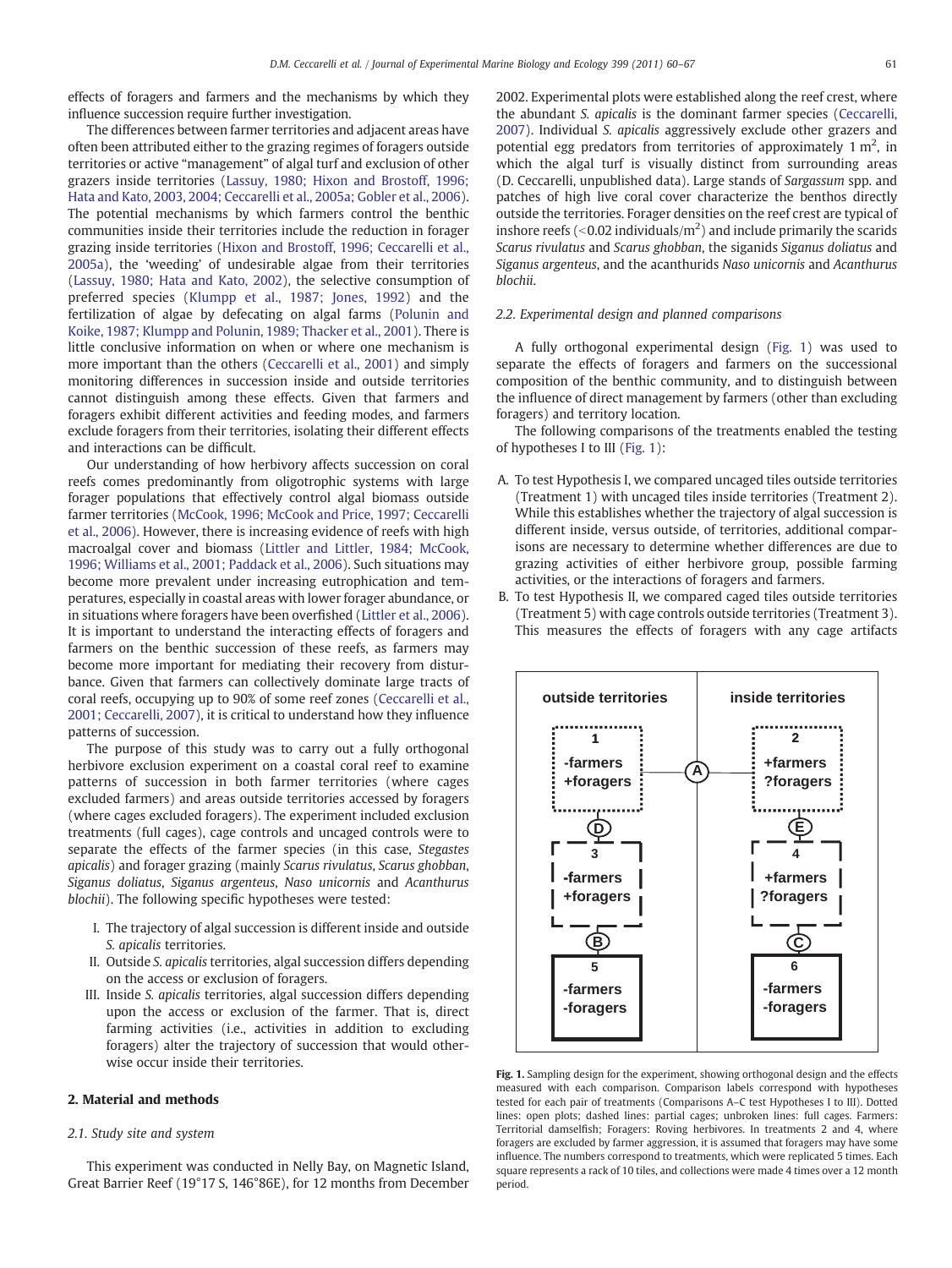effects of foragers and farmers and the mechanisms by which they influence succession require further investigation.

The differences between farmer territories and adjacent areas have often been attributed either to the grazing regimes of foragers outside territories or active "management" of algal turf and exclusion of other grazers inside territories ([Lassuy, 1980; Hixon and Brostoff, 1996;](#page-6-0) [Hata and Kato, 2003, 2004; Ceccarelli et al., 2005a; Gobler et al., 2006](#page-6-0)). The potential mechanisms by which farmers control the benthic communities inside their territories include the reduction in forager grazing inside territories [\(Hixon and Brostoff, 1996; Ceccarelli et al.,](#page-6-0) [2005a\)](#page-6-0), the 'weeding' of undesirable algae from their territories [\(Lassuy, 1980; Hata and Kato, 2002\)](#page-6-0), the selective consumption of preferred species [\(Klumpp et al., 1987; Jones, 1992\)](#page-6-0) and the fertilization of algae by defecating on algal farms [\(Polunin and](#page-6-0) [Koike, 1987; Klumpp and Polunin, 1989; Thacker et al., 2001](#page-6-0)). There is little conclusive information on when or where one mechanism is more important than the others ([Ceccarelli et al., 2001](#page-6-0)) and simply monitoring differences in succession inside and outside territories cannot distinguish among these effects. Given that farmers and foragers exhibit different activities and feeding modes, and farmers exclude foragers from their territories, isolating their different effects and interactions can be difficult.

Our understanding of how herbivory affects succession on coral reefs comes predominantly from oligotrophic systems with large forager populations that effectively control algal biomass outside farmer territories [\(McCook, 1996; McCook and Price, 1997; Ceccarelli](#page-6-0) [et al., 2006](#page-6-0)). However, there is increasing evidence of reefs with high macroalgal cover and biomass ([Littler and Littler, 1984; McCook,](#page-6-0) [1996; Williams et al., 2001; Paddack et al., 2006](#page-6-0)). Such situations may become more prevalent under increasing eutrophication and temperatures, especially in coastal areas with lower forager abundance, or in situations where foragers have been overfished [\(Littler et al., 2006](#page-6-0)). It is important to understand the interacting effects of foragers and farmers on the benthic succession of these reefs, as farmers may become more important for mediating their recovery from disturbance. Given that farmers can collectively dominate large tracts of coral reefs, occupying up to 90% of some reef zones ([Ceccarelli et al.,](#page-6-0) [2001; Ceccarelli, 2007](#page-6-0)), it is critical to understand how they influence patterns of succession.

The purpose of this study was to carry out a fully orthogonal herbivore exclusion experiment on a coastal coral reef to examine patterns of succession in both farmer territories (where cages excluded farmers) and areas outside territories accessed by foragers (where cages excluded foragers). The experiment included exclusion treatments (full cages), cage controls and uncaged controls were to separate the effects of the farmer species (in this case, Stegastes apicalis) and forager grazing (mainly Scarus rivulatus, Scarus ghobban, Siganus doliatus, Siganus argenteus, Naso unicornis and Acanthurus blochii). The following specific hypotheses were tested:

- I. The trajectory of algal succession is different inside and outside S. apicalis territories.
- II. Outside S. apicalis territories, algal succession differs depending on the access or exclusion of foragers.
- III. Inside S. apicalis territories, algal succession differs depending upon the access or exclusion of the farmer. That is, direct farming activities (i.e., activities in addition to excluding foragers) alter the trajectory of succession that would otherwise occur inside their territories.

# 2. Material and methods

# 2.1. Study site and system

This experiment was conducted in Nelly Bay, on Magnetic Island, Great Barrier Reef (19°17 S, 146°86E), for 12 months from December 2002. Experimental plots were established along the reef crest, where the abundant S. apicalis is the dominant farmer species [\(Ceccarelli,](#page-6-0) [2007\)](#page-6-0). Individual S. apicalis aggressively exclude other grazers and potential egg predators from territories of approximately  $1 \text{ m}^2$ , in which the algal turf is visually distinct from surrounding areas (D. Ceccarelli, unpublished data). Large stands of Sargassum spp. and patches of high live coral cover characterize the benthos directly outside the territories. Forager densities on the reef crest are typical of inshore reefs (<0.02 individuals/ $m^2$ ) and include primarily the scarids Scarus rivulatus and Scarus ghobban, the siganids Siganus doliatus and Siganus argenteus, and the acanthurids Naso unicornis and Acanthurus blochii.

# 2.2. Experimental design and planned comparisons

A fully orthogonal experimental design (Fig. 1) was used to separate the effects of foragers and farmers on the successional composition of the benthic community, and to distinguish between the influence of direct management by farmers (other than excluding foragers) and territory location.

The following comparisons of the treatments enabled the testing of hypotheses I to III (Fig. 1):

- A. To test Hypothesis I, we compared uncaged tiles outside territories (Treatment 1) with uncaged tiles inside territories (Treatment 2). While this establishes whether the trajectory of algal succession is different inside, versus outside, of territories, additional comparisons are necessary to determine whether differences are due to grazing activities of either herbivore group, possible farming activities, or the interactions of foragers and farmers.
- B. To test Hypothesis II, we compared caged tiles outside territories (Treatment 5) with cage controls outside territories (Treatment 3). This measures the effects of foragers with any cage artifacts



Fig. 1. Sampling design for the experiment, showing orthogonal design and the effects measured with each comparison. Comparison labels correspond with hypotheses tested for each pair of treatments (Comparisons A–C test Hypotheses I to III). Dotted lines: open plots; dashed lines: partial cages; unbroken lines: full cages. Farmers: Territorial damselfish; Foragers: Roving herbivores. In treatments 2 and 4, where foragers are excluded by farmer aggression, it is assumed that foragers may have some influence. The numbers correspond to treatments, which were replicated 5 times. Each square represents a rack of 10 tiles, and collections were made 4 times over a 12 month period.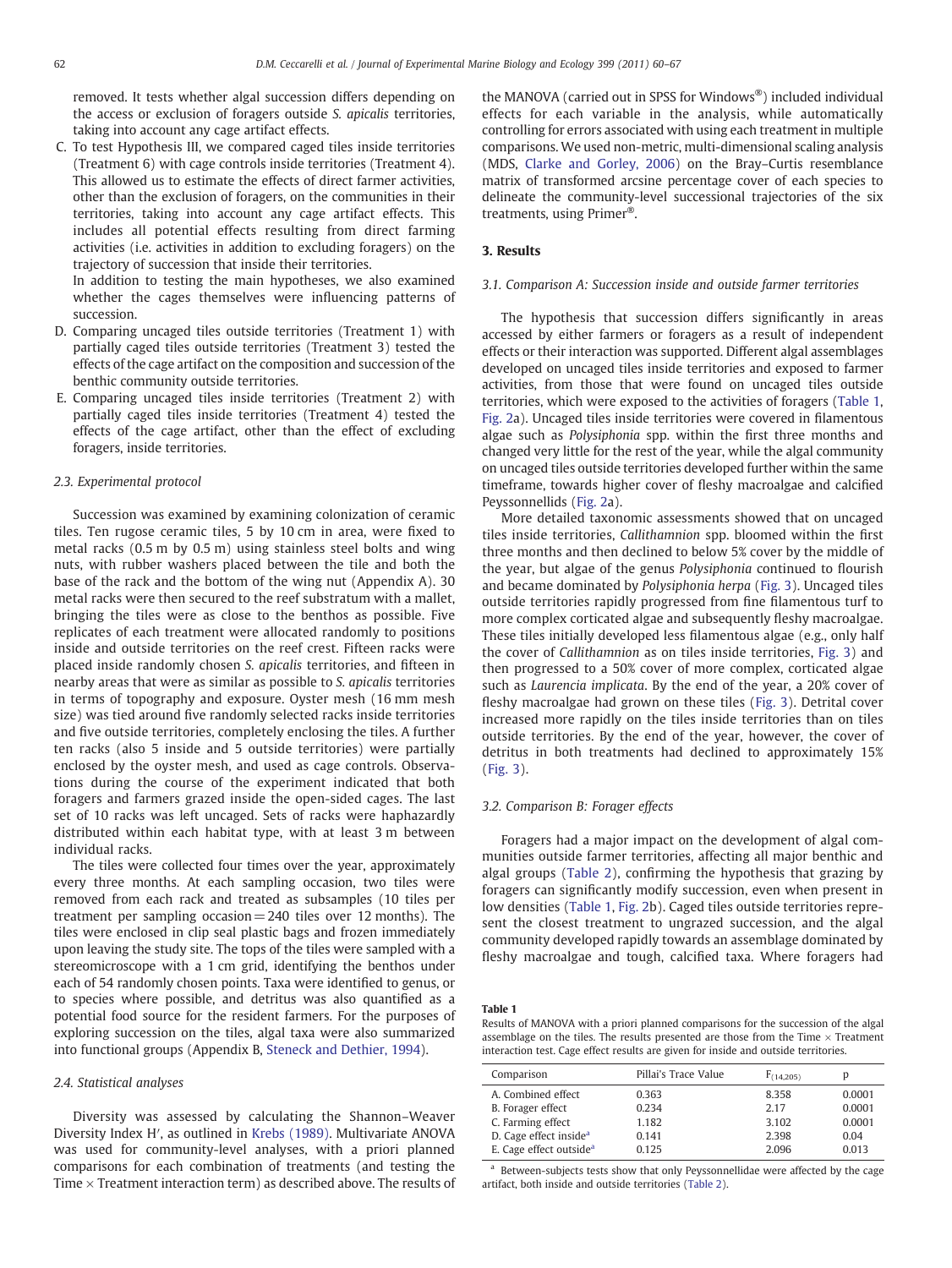<span id="page-2-0"></span>removed. It tests whether algal succession differs depending on the access or exclusion of foragers outside S. apicalis territories, taking into account any cage artifact effects.

C. To test Hypothesis III, we compared caged tiles inside territories (Treatment 6) with cage controls inside territories (Treatment 4). This allowed us to estimate the effects of direct farmer activities, other than the exclusion of foragers, on the communities in their territories, taking into account any cage artifact effects. This includes all potential effects resulting from direct farming activities (i.e. activities in addition to excluding foragers) on the trajectory of succession that inside their territories.

In addition to testing the main hypotheses, we also examined whether the cages themselves were influencing patterns of succession.

- D. Comparing uncaged tiles outside territories (Treatment 1) with partially caged tiles outside territories (Treatment 3) tested the effects of the cage artifact on the composition and succession of the benthic community outside territories.
- E. Comparing uncaged tiles inside territories (Treatment 2) with partially caged tiles inside territories (Treatment 4) tested the effects of the cage artifact, other than the effect of excluding foragers, inside territories.

#### 2.3. Experimental protocol

Succession was examined by examining colonization of ceramic tiles. Ten rugose ceramic tiles, 5 by 10 cm in area, were fixed to metal racks (0.5 m by 0.5 m) using stainless steel bolts and wing nuts, with rubber washers placed between the tile and both the base of the rack and the bottom of the wing nut (Appendix A). 30 metal racks were then secured to the reef substratum with a mallet, bringing the tiles were as close to the benthos as possible. Five replicates of each treatment were allocated randomly to positions inside and outside territories on the reef crest. Fifteen racks were placed inside randomly chosen S. apicalis territories, and fifteen in nearby areas that were as similar as possible to S. apicalis territories in terms of topography and exposure. Oyster mesh (16 mm mesh size) was tied around five randomly selected racks inside territories and five outside territories, completely enclosing the tiles. A further ten racks (also 5 inside and 5 outside territories) were partially enclosed by the oyster mesh, and used as cage controls. Observations during the course of the experiment indicated that both foragers and farmers grazed inside the open-sided cages. The last set of 10 racks was left uncaged. Sets of racks were haphazardly distributed within each habitat type, with at least 3 m between individual racks.

The tiles were collected four times over the year, approximately every three months. At each sampling occasion, two tiles were removed from each rack and treated as subsamples (10 tiles per treatment per sampling occasion= 240 tiles over 12 months). The tiles were enclosed in clip seal plastic bags and frozen immediately upon leaving the study site. The tops of the tiles were sampled with a stereomicroscope with a 1 cm grid, identifying the benthos under each of 54 randomly chosen points. Taxa were identified to genus, or to species where possible, and detritus was also quantified as a potential food source for the resident farmers. For the purposes of exploring succession on the tiles, algal taxa were also summarized into functional groups (Appendix B, [Steneck and Dethier, 1994](#page-6-0)).

#### 2.4. Statistical analyses

Diversity was assessed by calculating the Shannon–Weaver Diversity Index H′, as outlined in [Krebs \(1989\)](#page-6-0). Multivariate ANOVA was used for community-level analyses, with a priori planned comparisons for each combination of treatments (and testing the Time  $\times$  Treatment interaction term) as described above. The results of the MANOVA (carried out in SPSS for Windows®) included individual effects for each variable in the analysis, while automatically controlling for errors associated with using each treatment in multiple comparisons. We used non-metric, multi-dimensional scaling analysis (MDS, [Clarke and Gorley, 2006](#page-6-0)) on the Bray–Curtis resemblance matrix of transformed arcsine percentage cover of each species to delineate the community-level successional trajectories of the six treatments, using Primer®.

# 3. Results

#### 3.1. Comparison A: Succession inside and outside farmer territories

The hypothesis that succession differs significantly in areas accessed by either farmers or foragers as a result of independent effects or their interaction was supported. Different algal assemblages developed on uncaged tiles inside territories and exposed to farmer activities, from those that were found on uncaged tiles outside territories, which were exposed to the activities of foragers (Table 1, [Fig. 2](#page-3-0)a). Uncaged tiles inside territories were covered in filamentous algae such as Polysiphonia spp. within the first three months and changed very little for the rest of the year, while the algal community on uncaged tiles outside territories developed further within the same timeframe, towards higher cover of fleshy macroalgae and calcified Peyssonnellids ([Fig. 2](#page-3-0)a).

More detailed taxonomic assessments showed that on uncaged tiles inside territories, Callithamnion spp. bloomed within the first three months and then declined to below 5% cover by the middle of the year, but algae of the genus Polysiphonia continued to flourish and became dominated by Polysiphonia herpa ([Fig. 3](#page-3-0)). Uncaged tiles outside territories rapidly progressed from fine filamentous turf to more complex corticated algae and subsequently fleshy macroalgae. These tiles initially developed less filamentous algae (e.g., only half the cover of Callithamnion as on tiles inside territories, [Fig. 3\)](#page-3-0) and then progressed to a 50% cover of more complex, corticated algae such as Laurencia implicata. By the end of the year, a 20% cover of fleshy macroalgae had grown on these tiles ([Fig. 3](#page-3-0)). Detrital cover increased more rapidly on the tiles inside territories than on tiles outside territories. By the end of the year, however, the cover of detritus in both treatments had declined to approximately 15% [\(Fig. 3](#page-3-0)).

#### 3.2. Comparison B: Forager effects

Foragers had a major impact on the development of algal communities outside farmer territories, affecting all major benthic and algal groups ([Table 2\)](#page-3-0), confirming the hypothesis that grazing by foragers can significantly modify succession, even when present in low densities (Table 1, [Fig. 2](#page-3-0)b). Caged tiles outside territories represent the closest treatment to ungrazed succession, and the algal community developed rapidly towards an assemblage dominated by fleshy macroalgae and tough, calcified taxa. Where foragers had

#### Table 1

Results of MANOVA with a priori planned comparisons for the succession of the algal assemblage on the tiles. The results presented are those from the Time  $\times$  Treatment interaction test. Cage effect results are given for inside and outside territories.

| Comparison                          | Pillai's Trace Value | F(14.205) | D      |
|-------------------------------------|----------------------|-----------|--------|
| A. Combined effect                  | 0.363                | 8.358     | 0.0001 |
| B. Forager effect                   | 0.234                | 2.17      | 0.0001 |
| C. Farming effect                   | 1.182                | 3.102     | 0.0001 |
| D. Cage effect inside <sup>a</sup>  | 0.141                | 2.398     | 0.04   |
| E. Cage effect outside <sup>a</sup> | 0.125                | 2.096     | 0.013  |

<sup>a</sup> Between-subjects tests show that only Peyssonnellidae were affected by the cage artifact, both inside and outside territories ([Table 2\)](#page-3-0).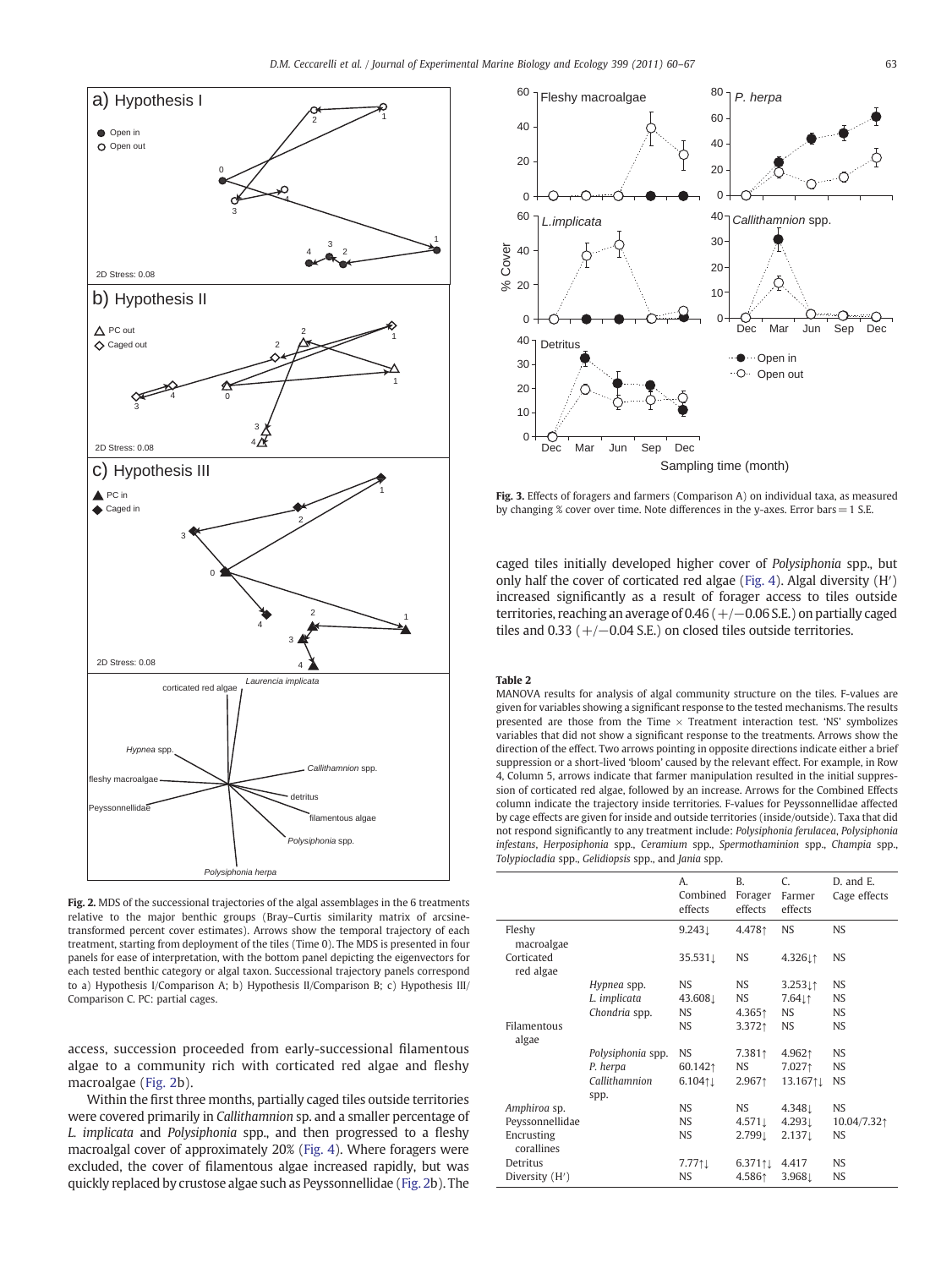<span id="page-3-0"></span>

Fig. 2. MDS of the successional trajectories of the algal assemblages in the 6 treatments relative to the major benthic groups (Bray–Curtis similarity matrix of arcsinetransformed percent cover estimates). Arrows show the temporal trajectory of each treatment, starting from deployment of the tiles (Time 0). The MDS is presented in four panels for ease of interpretation, with the bottom panel depicting the eigenvectors for each tested benthic category or algal taxon. Successional trajectory panels correspond to a) Hypothesis I/Comparison A; b) Hypothesis II/Comparison B; c) Hypothesis III/ Comparison C. PC: partial cages.

access, succession proceeded from early-successional filamentous algae to a community rich with corticated red algae and fleshy macroalgae (Fig. 2b).

Within the first three months, partially caged tiles outside territories were covered primarily in Callithamnion sp. and a smaller percentage of L. implicata and Polysiphonia spp., and then progressed to a fleshy macroalgal cover of approximately 20% [\(Fig. 4](#page-4-0)). Where foragers were excluded, the cover of filamentous algae increased rapidly, but was quickly replaced by crustose algae such as Peyssonnellidae (Fig. 2b). The



Fig. 3. Effects of foragers and farmers (Comparison A) on individual taxa, as measured by changing % cover over time. Note differences in the y-axes. Error bars= 1 S.E.

caged tiles initially developed higher cover of Polysiphonia spp., but only half the cover of corticated red algae [\(Fig. 4](#page-4-0)). Algal diversity (H′) increased significantly as a result of forager access to tiles outside territories, reaching an average of 0.46 (+/−0.06 S.E.) on partially caged tiles and 0.33 ( $+/-0.04$  S.E.) on closed tiles outside territories.

# Table 2

MANOVA results for analysis of algal community structure on the tiles. F-values are given for variables showing a significant response to the tested mechanisms. The results presented are those from the Time  $\times$  Treatment interaction test. 'NS' symbolizes variables that did not show a significant response to the treatments. Arrows show the direction of the effect. Two arrows pointing in opposite directions indicate either a brief suppression or a short-lived 'bloom' caused by the relevant effect. For example, in Row 4, Column 5, arrows indicate that farmer manipulation resulted in the initial suppression of corticated red algae, followed by an increase. Arrows for the Combined Effects column indicate the trajectory inside territories. F-values for Peyssonnellidae affected by cage effects are given for inside and outside territories (inside/outside). Taxa that did not respond significantly to any treatment include: Polysiphonia ferulacea, Polysiphonia infestans, Herposiphonia spp., Ceramium spp., Spermothaminion spp., Champia spp., Tolypiocladia spp., Gelidiopsis spp., and Jania spp.

|                          |                       | A.<br>Combined<br>effects | <sub>R</sub><br>Forager<br>effects | C.<br>Farmer<br>effects | D. and E.<br>Cage effects |
|--------------------------|-----------------------|---------------------------|------------------------------------|-------------------------|---------------------------|
| Fleshy<br>macroalgae     |                       | $9.243 \perp$             | 4.4781                             | <b>NS</b>               | <b>NS</b>                 |
| Corticated<br>red algae  |                       | 35.5311                   | <b>NS</b>                          | 4.32611                 | <b>NS</b>                 |
|                          | Hypnea spp.           | <b>NS</b>                 | NS.                                | 3.2531                  | <b>NS</b>                 |
|                          | L. implicata          | 43.608                    | NS.                                | 7.64⊥↑                  | <b>NS</b>                 |
|                          | Chondria spp.         | <b>NS</b>                 | 4.3651                             | <b>NS</b>               | <b>NS</b>                 |
| Filamentous<br>algae     |                       | <b>NS</b>                 | 3.3721                             | <b>NS</b>               | NS.                       |
|                          | Polysiphonia spp.     | <b>NS</b>                 | 7.3811                             | 4.9621                  | NS.                       |
|                          | P. herpa              | 60.1421                   | NS.                                | 7.0271                  | NS.                       |
|                          | Callithamnion<br>spp. | $6.104$ <sup>1</sup>      | 2.9671                             | 13.167↑↓                | <b>NS</b>                 |
| Amphiroa sp.             |                       | <b>NS</b>                 | <b>NS</b>                          | 4.3481                  | <b>NS</b>                 |
| Peyssonnellidae          |                       | <b>NS</b>                 | $4.571 \perp$                      | $4.293 \perp$           | 10.04/7.321               |
| Encrusting<br>corallines |                       | <b>NS</b>                 | 2.7991                             | $2.137\perp$            | <b>NS</b>                 |
| Detritus                 |                       | $7.771 \downarrow$        | $6.371$ $\uparrow \downarrow$      | 4.417                   | NS.                       |
| Diversity (H')           |                       | <b>NS</b>                 | 4.5861                             | 3.9681                  | NS                        |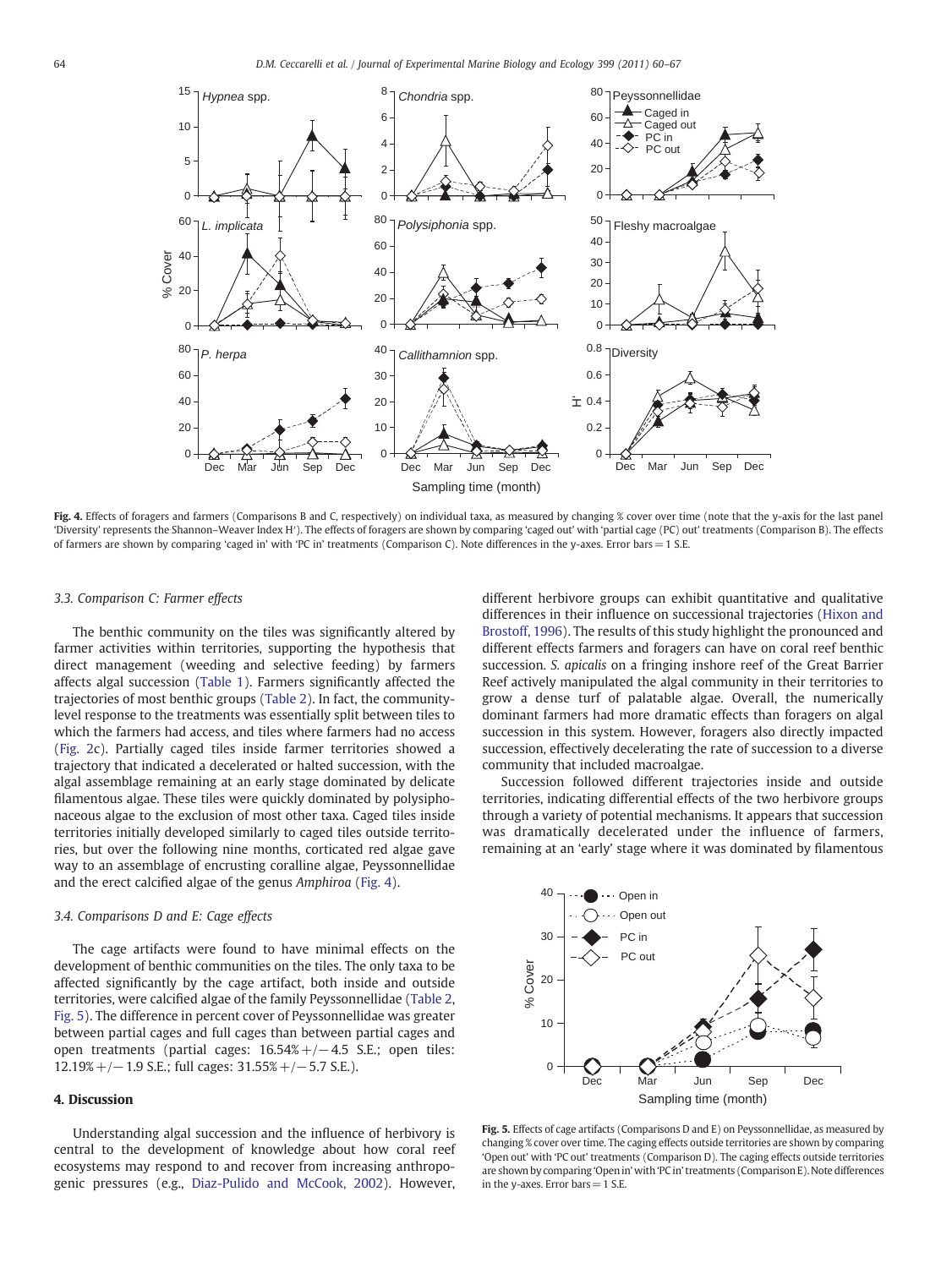<span id="page-4-0"></span>

Fig. 4. Effects of foragers and farmers (Comparisons B and C, respectively) on individual taxa, as measured by changing % cover over time (note that the y-axis for the last panel 'Diversity' represents the Shannon–Weaver Index H′). The effects of foragers are shown by comparing 'caged out' with 'partial cage (PC) out' treatments (Comparison B). The effects of farmers are shown by comparing 'caged in' with 'PC in' treatments (Comparison C). Note differences in the y-axes. Error bars= 1 S.E.

### 3.3. Comparison C: Farmer effects

The benthic community on the tiles was significantly altered by farmer activities within territories, supporting the hypothesis that direct management (weeding and selective feeding) by farmers affects algal succession ([Table 1\)](#page-2-0). Farmers significantly affected the trajectories of most benthic groups ([Table 2](#page-3-0)). In fact, the communitylevel response to the treatments was essentially split between tiles to which the farmers had access, and tiles where farmers had no access [\(Fig. 2c](#page-3-0)). Partially caged tiles inside farmer territories showed a trajectory that indicated a decelerated or halted succession, with the algal assemblage remaining at an early stage dominated by delicate filamentous algae. These tiles were quickly dominated by polysiphonaceous algae to the exclusion of most other taxa. Caged tiles inside territories initially developed similarly to caged tiles outside territories, but over the following nine months, corticated red algae gave way to an assemblage of encrusting coralline algae, Peyssonnellidae and the erect calcified algae of the genus Amphiroa (Fig. 4).

#### 3.4. Comparisons D and E: Cage effects

The cage artifacts were found to have minimal effects on the development of benthic communities on the tiles. The only taxa to be affected significantly by the cage artifact, both inside and outside territories, were calcified algae of the family Peyssonnellidae [\(Table 2,](#page-3-0) Fig. 5). The difference in percent cover of Peyssonnellidae was greater between partial cages and full cages than between partial cages and open treatments (partial cages: 16.54%+/−4.5 S.E.; open tiles: 12.19%+/−1.9 S.E.; full cages: 31.55%+/−5.7 S.E.).

# 4. Discussion

Understanding algal succession and the influence of herbivory is central to the development of knowledge about how coral reef ecosystems may respond to and recover from increasing anthropogenic pressures (e.g., [Diaz-Pulido and McCook, 2002\)](#page-6-0). However,

different herbivore groups can exhibit quantitative and qualitative differences in their influence on successional trajectories ([Hixon and](#page-6-0) [Brostoff, 1996\)](#page-6-0). The results of this study highlight the pronounced and different effects farmers and foragers can have on coral reef benthic succession. S. apicalis on a fringing inshore reef of the Great Barrier Reef actively manipulated the algal community in their territories to grow a dense turf of palatable algae. Overall, the numerically dominant farmers had more dramatic effects than foragers on algal succession in this system. However, foragers also directly impacted succession, effectively decelerating the rate of succession to a diverse community that included macroalgae.

Succession followed different trajectories inside and outside territories, indicating differential effects of the two herbivore groups through a variety of potential mechanisms. It appears that succession was dramatically decelerated under the influence of farmers, remaining at an 'early' stage where it was dominated by filamentous



Fig. 5. Effects of cage artifacts (Comparisons D and E) on Peyssonnellidae, as measured by changing % cover over time. The caging effects outside territories are shown by comparing 'Open out' with 'PC out' treatments (Comparison D). The caging effects outside territories are shown by comparing 'Open in' with 'PC in' treatments (Comparison E). Note differences in the y-axes. Error bars  $=$  1 S.E.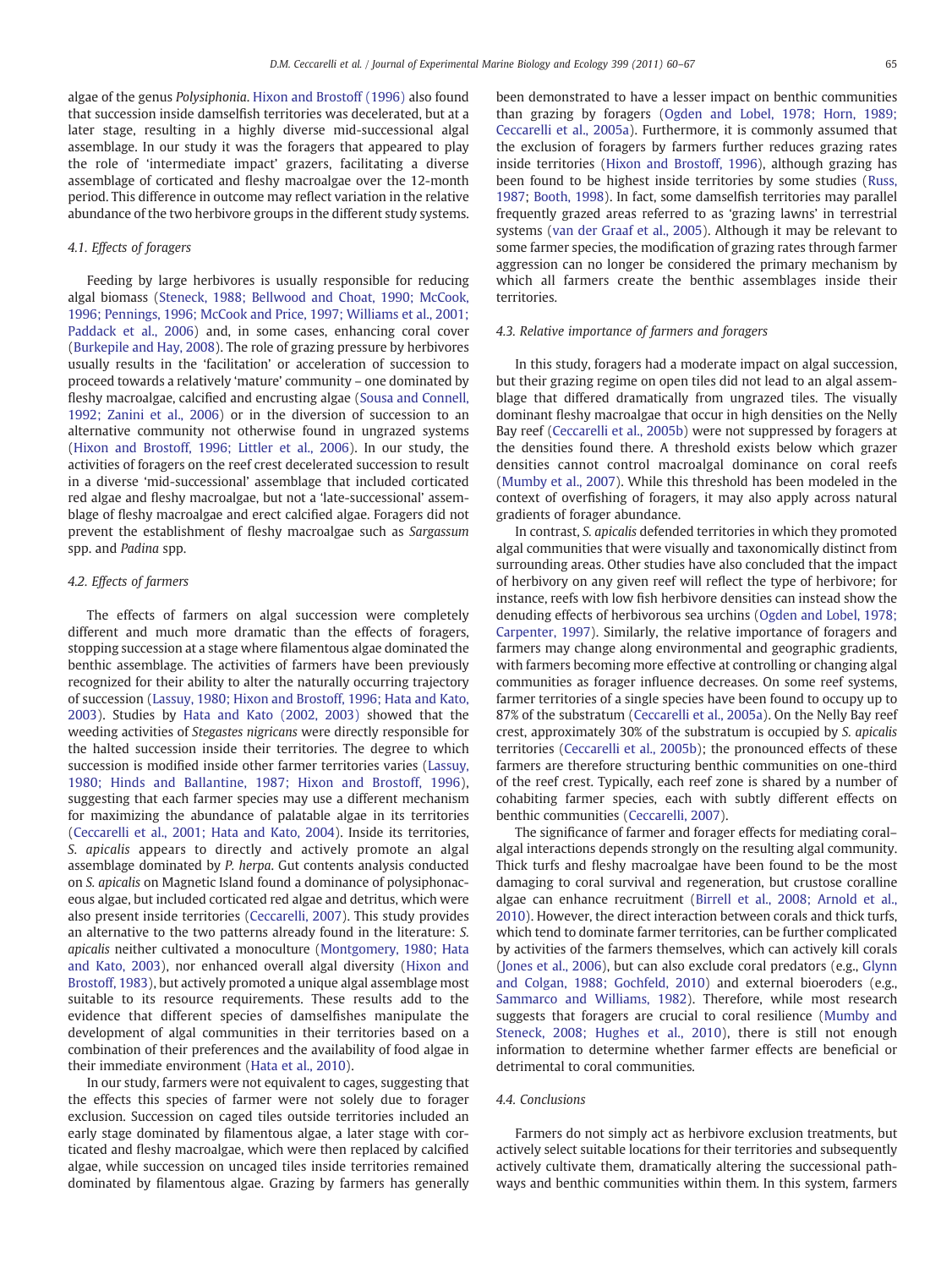algae of the genus Polysiphonia. [Hixon and Brostoff \(1996\)](#page-6-0) also found that succession inside damselfish territories was decelerated, but at a later stage, resulting in a highly diverse mid-successional algal assemblage. In our study it was the foragers that appeared to play the role of 'intermediate impact' grazers, facilitating a diverse assemblage of corticated and fleshy macroalgae over the 12-month period. This difference in outcome may reflect variation in the relative abundance of the two herbivore groups in the different study systems.

# 4.1. Effects of foragers

Feeding by large herbivores is usually responsible for reducing algal biomass ([Steneck, 1988; Bellwood and Choat, 1990; McCook,](#page-6-0) [1996; Pennings, 1996; McCook and Price, 1997; Williams et al., 2001;](#page-6-0) [Paddack et al., 2006](#page-6-0)) and, in some cases, enhancing coral cover [\(Burkepile and Hay, 2008](#page-6-0)). The role of grazing pressure by herbivores usually results in the 'facilitation' or acceleration of succession to proceed towards a relatively 'mature' community – one dominated by fleshy macroalgae, calcified and encrusting algae [\(Sousa and Connell,](#page-6-0) [1992; Zanini et al., 2006](#page-6-0)) or in the diversion of succession to an alternative community not otherwise found in ungrazed systems [\(Hixon and Brostoff, 1996; Littler et al., 2006](#page-6-0)). In our study, the activities of foragers on the reef crest decelerated succession to result in a diverse 'mid-successional' assemblage that included corticated red algae and fleshy macroalgae, but not a 'late-successional' assemblage of fleshy macroalgae and erect calcified algae. Foragers did not prevent the establishment of fleshy macroalgae such as Sargassum spp. and Padina spp.

### 4.2. Effects of farmers

The effects of farmers on algal succession were completely different and much more dramatic than the effects of foragers, stopping succession at a stage where filamentous algae dominated the benthic assemblage. The activities of farmers have been previously recognized for their ability to alter the naturally occurring trajectory of succession [\(Lassuy, 1980; Hixon and Brostoff, 1996; Hata and Kato,](#page-6-0) [2003\)](#page-6-0). Studies by [Hata and Kato \(2002, 2003\)](#page-6-0) showed that the weeding activities of Stegastes nigricans were directly responsible for the halted succession inside their territories. The degree to which succession is modified inside other farmer territories varies ([Lassuy,](#page-6-0) [1980; Hinds and Ballantine, 1987; Hixon and Brostoff, 1996](#page-6-0)), suggesting that each farmer species may use a different mechanism for maximizing the abundance of palatable algae in its territories [\(Ceccarelli et al., 2001; Hata and Kato, 2004](#page-6-0)). Inside its territories, S. apicalis appears to directly and actively promote an algal assemblage dominated by P. herpa. Gut contents analysis conducted on S. apicalis on Magnetic Island found a dominance of polysiphonaceous algae, but included corticated red algae and detritus, which were also present inside territories [\(Ceccarelli, 2007\)](#page-6-0). This study provides an alternative to the two patterns already found in the literature: S. apicalis neither cultivated a monoculture ([Montgomery, 1980; Hata](#page-6-0) [and Kato, 2003\)](#page-6-0), nor enhanced overall algal diversity [\(Hixon and](#page-6-0) [Brostoff, 1983\)](#page-6-0), but actively promoted a unique algal assemblage most suitable to its resource requirements. These results add to the evidence that different species of damselfishes manipulate the development of algal communities in their territories based on a combination of their preferences and the availability of food algae in their immediate environment ([Hata et al., 2010](#page-6-0)).

In our study, farmers were not equivalent to cages, suggesting that the effects this species of farmer were not solely due to forager exclusion. Succession on caged tiles outside territories included an early stage dominated by filamentous algae, a later stage with corticated and fleshy macroalgae, which were then replaced by calcified algae, while succession on uncaged tiles inside territories remained dominated by filamentous algae. Grazing by farmers has generally

been demonstrated to have a lesser impact on benthic communities than grazing by foragers ([Ogden and Lobel, 1978; Horn, 1989;](#page-6-0) [Ceccarelli et al., 2005a\)](#page-6-0). Furthermore, it is commonly assumed that the exclusion of foragers by farmers further reduces grazing rates inside territories [\(Hixon and Brostoff, 1996\)](#page-6-0), although grazing has been found to be highest inside territories by some studies [\(Russ,](#page-6-0) [1987;](#page-6-0) [Booth, 1998](#page-6-0)). In fact, some damselfish territories may parallel frequently grazed areas referred to as 'grazing lawns' in terrestrial systems ([van der Graaf et al., 2005](#page-7-0)). Although it may be relevant to some farmer species, the modification of grazing rates through farmer aggression can no longer be considered the primary mechanism by which all farmers create the benthic assemblages inside their territories.

# 4.3. Relative importance of farmers and foragers

In this study, foragers had a moderate impact on algal succession, but their grazing regime on open tiles did not lead to an algal assemblage that differed dramatically from ungrazed tiles. The visually dominant fleshy macroalgae that occur in high densities on the Nelly Bay reef ([Ceccarelli et al., 2005b](#page-6-0)) were not suppressed by foragers at the densities found there. A threshold exists below which grazer densities cannot control macroalgal dominance on coral reefs [\(Mumby et al., 2007](#page-6-0)). While this threshold has been modeled in the context of overfishing of foragers, it may also apply across natural gradients of forager abundance.

In contrast, S. apicalis defended territories in which they promoted algal communities that were visually and taxonomically distinct from surrounding areas. Other studies have also concluded that the impact of herbivory on any given reef will reflect the type of herbivore; for instance, reefs with low fish herbivore densities can instead show the denuding effects of herbivorous sea urchins [\(Ogden and Lobel, 1978;](#page-6-0) [Carpenter, 1997\)](#page-6-0). Similarly, the relative importance of foragers and farmers may change along environmental and geographic gradients, with farmers becoming more effective at controlling or changing algal communities as forager influence decreases. On some reef systems, farmer territories of a single species have been found to occupy up to 87% of the substratum ([Ceccarelli et al., 2005a](#page-6-0)). On the Nelly Bay reef crest, approximately 30% of the substratum is occupied by S. apicalis territories [\(Ceccarelli et al., 2005b\)](#page-6-0); the pronounced effects of these farmers are therefore structuring benthic communities on one-third of the reef crest. Typically, each reef zone is shared by a number of cohabiting farmer species, each with subtly different effects on benthic communities ([Ceccarelli, 2007\)](#page-6-0).

The significance of farmer and forager effects for mediating coral– algal interactions depends strongly on the resulting algal community. Thick turfs and fleshy macroalgae have been found to be the most damaging to coral survival and regeneration, but crustose coralline algae can enhance recruitment [\(Birrell et al., 2008; Arnold et al.,](#page-6-0) [2010\)](#page-6-0). However, the direct interaction between corals and thick turfs, which tend to dominate farmer territories, can be further complicated by activities of the farmers themselves, which can actively kill corals [\(Jones et al., 2006](#page-6-0)), but can also exclude coral predators (e.g., [Glynn](#page-6-0) [and Colgan, 1988; Gochfeld, 2010](#page-6-0)) and external bioeroders (e.g., [Sammarco and Williams, 1982\)](#page-6-0). Therefore, while most research suggests that foragers are crucial to coral resilience ([Mumby and](#page-6-0) [Steneck, 2008; Hughes et al., 2010\)](#page-6-0), there is still not enough information to determine whether farmer effects are beneficial or detrimental to coral communities.

#### 4.4. Conclusions

Farmers do not simply act as herbivore exclusion treatments, but actively select suitable locations for their territories and subsequently actively cultivate them, dramatically altering the successional pathways and benthic communities within them. In this system, farmers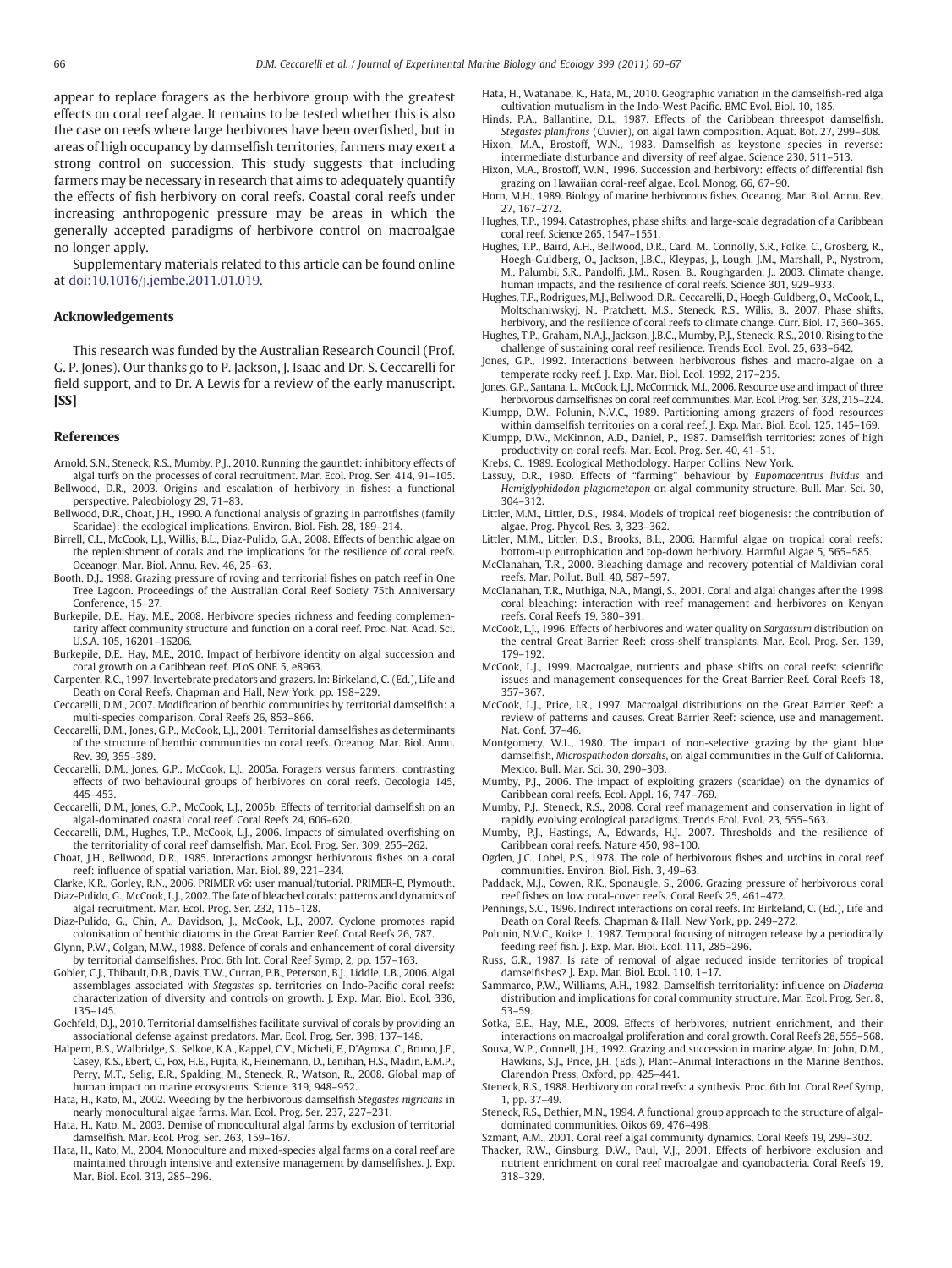<span id="page-6-0"></span>appear to replace foragers as the herbivore group with the greatest effects on coral reef algae. It remains to be tested whether this is also the case on reefs where large herbivores have been overfished, but in areas of high occupancy by damselfish territories, farmers may exert a strong control on succession. This study suggests that including farmers may be necessary in research that aims to adequately quantify the effects of fish herbivory on coral reefs. Coastal coral reefs under increasing anthropogenic pressure may be areas in which the generally accepted paradigms of herbivore control on macroalgae no longer apply.

Supplementary materials related to this article can be found online at doi[:10.1016/j.jembe.2011.01.019.](http://dx.doi.org/10.1016/j.jembe.2011.01.019)

# Acknowledgements

This research was funded by the Australian Research Council (Prof. G. P. Jones). Our thanks go to P. Jackson, J. Isaac and Dr. S. Ceccarelli for field support, and to Dr. A Lewis for a review of the early manuscript. [SS]

#### References

- Arnold, S.N., Steneck, R.S., Mumby, P.J., 2010. Running the gauntlet: inhibitory effects of algal turfs on the processes of coral recruitment. Mar. Ecol. Prog. Ser. 414, 91–105. Bellwood, D.R., 2003. Origins and escalation of herbivory in fishes: a functional
- perspective. Paleobiology 29, 71–83. Bellwood, D.R., Choat, J.H., 1990. A functional analysis of grazing in parrotfishes (family
- Scaridae): the ecological implications. Environ. Biol. Fish. 28, 189–214. Birrell, C.L., McCook, L.J., Willis, B.L., Diaz-Pulido, G.A., 2008. Effects of benthic algae on the replenishment of corals and the implications for the resilience of coral reefs. Oceanogr. Mar. Biol. Annu. Rev. 46, 25–63.
- Booth, D.J., 1998. Grazing pressure of roving and territorial fishes on patch reef in One Tree Lagoon. Proceedings of the Australian Coral Reef Society 75th Anniversary Conference, 15–27.
- Burkepile, D.E., Hay, M.E., 2008. Herbivore species richness and feeding complementarity affect community structure and function on a coral reef. Proc. Nat. Acad. Sci. U.S.A. 105, 16201–16206.
- Burkepile, D.E., Hay, M.E., 2010. Impact of herbivore identity on algal succession and coral growth on a Caribbean reef. PLoS ONE 5, e8963.
- Carpenter, R.C., 1997. Invertebrate predators and grazers. In: Birkeland, C. (Ed.), Life and Death on Coral Reefs. Chapman and Hall, New York, pp. 198–229.
- Ceccarelli, D.M., 2007. Modification of benthic communities by territorial damselfish: a multi-species comparison. Coral Reefs 26, 853–866.
- Ceccarelli, D.M., Jones, G.P., McCook, L.J., 2001. Territorial damselfishes as determinants of the structure of benthic communities on coral reefs. Oceanog. Mar. Biol. Annu. Rev. 39, 355–389.
- Ceccarelli, D.M., Jones, G.P., McCook, L.J., 2005a. Foragers versus farmers: contrasting effects of two behavioural groups of herbivores on coral reefs. Oecologia 145, 445–453.
- Ceccarelli, D.M., Jones, G.P., McCook, L.J., 2005b. Effects of territorial damselfish on an algal-dominated coastal coral reef. Coral Reefs 24, 606–620.
- Ceccarelli, D.M., Hughes, T.P., McCook, L.J., 2006. Impacts of simulated overfishing on the territoriality of coral reef damselfish. Mar. Ecol. Prog. Ser. 309, 255–262.
- Choat, J.H., Bellwood, D.R., 1985. Interactions amongst herbivorous fishes on a coral reef: influence of spatial variation. Mar. Biol. 89, 221–234.
- Clarke, K.R., Gorley, R.N., 2006. PRIMER v6: user manual/tutorial. PRIMER-E, Plymouth. Diaz-Pulido, G., McCook, L.J., 2002. The fate of bleached corals: patterns and dynamics of
- algal recruitment. Mar. Ecol. Prog. Ser. 232, 115–128.
- Diaz-Pulido, G., Chin, A., Davidson, J., McCook, L.J., 2007. Cyclone promotes rapid colonisation of benthic diatoms in the Great Barrier Reef. Coral Reefs 26, 787.
- Glynn, P.W., Colgan, M.W., 1988. Defence of corals and enhancement of coral diversity by territorial damselfishes. Proc. 6th Int. Coral Reef Symp, 2, pp. 157–163.
- Gobler, C.J., Thibault, D.B., Davis, T.W., Curran, P.B., Peterson, B.J., Liddle, L.B., 2006. Algal assemblages associated with Stegastes sp. territories on Indo-Pacific coral reefs: characterization of diversity and controls on growth. J. Exp. Mar. Biol. Ecol. 336, 135–145.
- Gochfeld, D.J., 2010. Territorial damselfishes facilitate survival of corals by providing an associational defense against predators. Mar. Ecol. Prog. Ser. 398, 137–148.
- Halpern, B.S., Walbridge, S., Selkoe, K.A., Kappel, C.V., Micheli, F., D'Agrosa, C., Bruno, J.F., Casey, K.S., Ebert, C., Fox, H.E., Fujita, R., Heinemann, D., Lenihan, H.S., Madin, E.M.P., Perry, M.T., Selig, E.R., Spalding, M., Steneck, R., Watson, R., 2008. Global map of human impact on marine ecosystems. Science 319, 948–952.
- Hata, H., Kato, M., 2002. Weeding by the herbivorous damselfish Stegastes nigricans in nearly monocultural algae farms. Mar. Ecol. Prog. Ser. 237, 227–231.
- Hata, H., Kato, M., 2003. Demise of monocultural algal farms by exclusion of territorial damselfish. Mar. Ecol. Prog. Ser. 263, 159–167.
- Hata, H., Kato, M., 2004. Monoculture and mixed-species algal farms on a coral reef are maintained through intensive and extensive management by damselfishes. J. Exp. Mar. Biol. Ecol. 313, 285–296.
- Hata, H., Watanabe, K., Hata, M., 2010. Geographic variation in the damselfish-red alga cultivation mutualism in the Indo-West Pacific. BMC Evol. Biol. 10, 185.
- Hinds, P.A., Ballantine, D.L., 1987. Effects of the Caribbean threespot damselfish, Stegastes planifrons (Cuvier), on algal lawn composition. Aquat. Bot. 27, 299–308. Hixon, M.A., Brostoff, W.N., 1983. Damselfish as keystone species in reverse:
- intermediate disturbance and diversity of reef algae. Science 230, 511–513. Hixon, M.A., Brostoff, W.N., 1996. Succession and herbivory: effects of differential fish
- grazing on Hawaiian coral-reef algae. Ecol. Monog. 66, 67–90. Horn, M.H., 1989. Biology of marine herbivorous fishes. Oceanog. Mar. Biol. Annu. Rev. 27, 167–272.
- Hughes, T.P., 1994. Catastrophes, phase shifts, and large-scale degradation of a Caribbean coral reef. Science 265, 1547–1551.
- Hughes, T.P., Baird, A.H., Bellwood, D.R., Card, M., Connolly, S.R., Folke, C., Grosberg, R., Hoegh-Guldberg, O., Jackson, J.B.C., Kleypas, J., Lough, J.M., Marshall, P., Nystrom, M., Palumbi, S.R., Pandolfi, J.M., Rosen, B., Roughgarden, J., 2003. Climate change, human impacts, and the resilience of coral reefs. Science 301, 929–933.
- Hughes, T.P., Rodrigues, M.J., Bellwood, D.R., Ceccarelli, D., Hoegh-Guldberg, O., McCook, L., Moltschaniwskyj, N., Pratchett, M.S., Steneck, R.S., Willis, B., 2007. Phase shifts, herbivory, and the resilience of coral reefs to climate change. Curr. Biol. 17, 360–365.
- Hughes, T.P., Graham, N.A.J., Jackson, J.B.C., Mumby, P.J., Steneck, R.S., 2010. Rising to the challenge of sustaining coral reef resilience. Trends Ecol. Evol. 25, 633–642.
- Jones, G.P., 1992. Interactions between herbivorous fishes and macro-algae on a temperate rocky reef. J. Exp. Mar. Biol. Ecol. 1992, 217–235.
- Jones, G.P., Santana, L., McCook, L.J., McCormick, M.I., 2006. Resource use and impact of three herbivorous damselfishes on coral reef communities. Mar. Ecol. Prog. Ser. 328, 215–224.
- Klumpp, D.W., Polunin, N.V.C., 1989. Partitioning among grazers of food resources within damselfish territories on a coral reef. J. Exp. Mar. Biol. Ecol. 125, 145–169.
- Klumpp, D.W., McKinnon, A.D., Daniel, P., 1987. Damselfish territories: zones of high productivity on coral reefs. Mar. Ecol. Prog. Ser. 40, 41–51.
- Krebs, C., 1989. Ecological Methodology. Harper Collins, New York.
- Lassuy, D.R., 1980. Effects of "farming" behaviour by Eupomacentrus lividus and Hemiglyphidodon plagiometapon on algal community structure. Bull. Mar. Sci. 30, 304–312.
- Littler, M.M., Littler, D.S., 1984. Models of tropical reef biogenesis: the contribution of algae. Prog. Phycol. Res. 3, 323–362.
- Littler, M.M., Littler, D.S., Brooks, B.L., 2006. Harmful algae on tropical coral reefs: bottom-up eutrophication and top-down herbivory. Harmful Algae 5, 565–585.
- McClanahan, T.R., 2000. Bleaching damage and recovery potential of Maldivian coral reefs. Mar. Pollut. Bull. 40, 587–597.
- McClanahan, T.R., Muthiga, N.A., Mangi, S., 2001. Coral and algal changes after the 1998 coral bleaching: interaction with reef management and herbivores on Kenyan reefs. Coral Reefs 19, 380–391.
- McCook, L.J., 1996. Effects of herbivores and water quality on Sargassum distribution on the central Great Barrier Reef: cross-shelf transplants. Mar. Ecol. Prog. Ser. 139, 179–192.
- McCook, L.J., 1999. Macroalgae, nutrients and phase shifts on coral reefs: scientific issues and management consequences for the Great Barrier Reef. Coral Reefs 18, 357–367.
- McCook, L.J., Price, I.R., 1997. Macroalgal distributions on the Great Barrier Reef: a review of patterns and causes. Great Barrier Reef: science, use and management. Nat. Conf. 37–46.
- Montgomery, W.L., 1980. The impact of non-selective grazing by the giant blue damselfish, Microspathodon dorsalis, on algal communities in the Gulf of California. Mexico. Bull. Mar. Sci. 30, 290–303.
- Mumby, P.J., 2006. The impact of exploiting grazers (scaridae) on the dynamics of Caribbean coral reefs. Ecol. Appl. 16, 747–769.
- Mumby, P.J., Steneck, R.S., 2008. Coral reef management and conservation in light of rapidly evolving ecological paradigms. Trends Ecol. Evol. 23, 555–563.
- Mumby, P.J., Hastings, A., Edwards, H.J., 2007. Thresholds and the resilience of Caribbean coral reefs. Nature 450, 98–100.
- Ogden, J.C., Lobel, P.S., 1978. The role of herbivorous fishes and urchins in coral reef communities. Environ. Biol. Fish. 3, 49–63.
- Paddack, M.J., Cowen, R.K., Sponaugle, S., 2006. Grazing pressure of herbivorous coral reef fishes on low coral-cover reefs. Coral Reefs 25, 461–472.
- Pennings, S.C., 1996. Indirect interactions on coral reefs. In: Birkeland, C. (Ed.), Life and Death on Coral Reefs. Chapman & Hall, New York, pp. 249–272.
- Polunin, N.V.C., Koike, I., 1987. Temporal focusing of nitrogen release by a periodically feeding reef fish. J. Exp. Mar. Biol. Ecol. 111, 285–296.
- Russ, G.R., 1987. Is rate of removal of algae reduced inside territories of tropical damselfishes? J. Exp. Mar. Biol. Ecol. 110, 1–17.
- Sammarco, P.W., Williams, A.H., 1982. Damselfish territoriality: influence on Diadema distribution and implications for coral community structure. Mar. Ecol. Prog. Ser. 8, 53–59.
- Sotka, E.E., Hay, M.E., 2009. Effects of herbivores, nutrient enrichment, and their interactions on macroalgal proliferation and coral growth. Coral Reefs 28, 555–568.
- Sousa, W.P., Connell, J.H., 1992. Grazing and succession in marine algae. In: John, D.M., Hawkins, S.J., Price, J.H. (Eds.), Plant–Animal Interactions in the Marine Benthos. Clarendon Press, Oxford, pp. 425–441.
- Steneck, R.S., 1988. Herbivory on coral reefs: a synthesis. Proc. 6th Int. Coral Reef Symp, 1, pp. 37–49.
- Steneck, R.S., Dethier, M.N., 1994. A functional group approach to the structure of algaldominated communities. Oikos 69, 476–498.

Szmant, A.M., 2001. Coral reef algal community dynamics. Coral Reefs 19, 299–302.

Thacker, R.W., Ginsburg, D.W., Paul, V.J., 2001. Effects of herbivore exclusion and nutrient enrichment on coral reef macroalgae and cyanobacteria. Coral Reefs 19, 318–329.